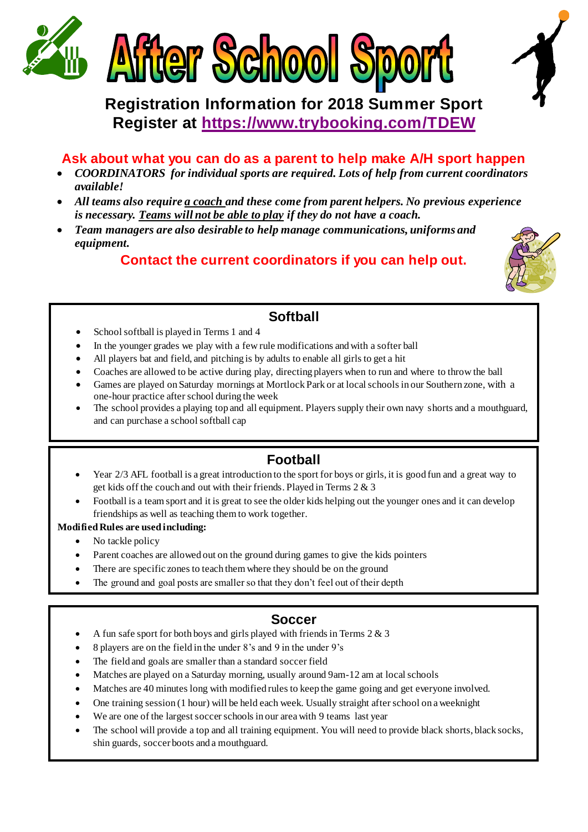

# **Registration Information for 2018 Summer Sport Register at <https://www.trybooking.com/TDEW>**

### **Ask about what you can do as a parent to help make A/H sport happen**

- *COORDINATORS for individual sports are required. Lots of help from current coordinators available!*
- *All teams also require a coach and these come from parent helpers. No previous experience is necessary. Teams will not be able to play if they do not have a coach.*
- *Team managers are also desirable to help manage communications, uniforms and equipment.*

### **Contact the current coordinators if you can help out.**



### **Softball**

- School softball is played in Terms 1 and 4
- In the younger grades we play with a few rule modifications and with a softer ball
- All players bat and field, and pitching is by adults to enable all girls to get a hit
- Coaches are allowed to be active during play, directing players when to run and where to throw the ball
- Games are played on Saturday mornings at Mortlock Park or at local schools in our Southern zone, with a one-hour practice after school during the week
- The school provides a playing top and all equipment. Players supply their own navy shorts and a mouthguard, and can purchase a school softball cap

### **Football**

- Year 2/3 AFL football is a great introduction to the sport for boys or girls, it is good fun and a great way to get kids off the couch and out with their friends. Played in Terms 2 & 3
- Football is a team sport and it is great to see the older kids helping out the younger ones and it can develop friendships as well as teaching them to work together.

#### **Modified Rules are used including:**

- No tackle policy
- Parent coaches are allowed out on the ground during games to give the kids pointers
- There are specific zones to teach them where they should be on the ground
- The ground and goal posts are smaller so that they don't feel out of their depth

### **Soccer**

- A fun safe sport for both boys and girls played with friends in Terms 2 & 3
	- 8 players are on the field in the under 8's and 9 in the under 9's
- The field and goals are smaller than a standard soccer field
- Matches are played on a Saturday morning, usually around 9am-12 am at local schools
- Matches are 40 minutes long with modified rules to keep the game going and get everyone involved.
- One training session (1 hour) will be held each week. Usually straight after school on a weeknight
- We are one of the largest soccer schools in our area with 9 teams last year
- The school will provide a top and all training equipment. You will need to provide black shorts, black socks, shin guards, soccer boots and a mouthguard.